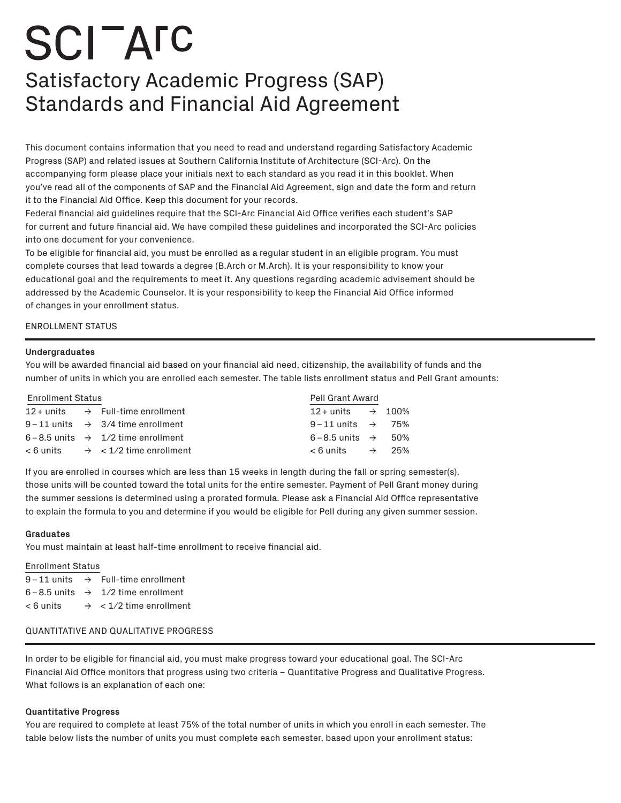# **SCITATC**

## Satisfactory Academic Progress (SAP) Standards and Financial Aid Agreement

This document contains information that you need to read and understand regarding Satisfactory Academic Progress (SAP) and related issues at Southern California Institute of Architecture (SCI-Arc). On the accompanying form please place your initials next to each standard as you read it in this booklet. When you've read all of the components of SAP and the Financial Aid Agreement, sign and date the form and return it to the Financial Aid Office. Keep this document for your records.

Federal financial aid guidelines require that the SCI-Arc Financial Aid Office verifies each student's SAP for current and future financial aid. We have compiled these guidelines and incorporated the SCI-Arc policies into one document for your convenience.

To be eligible for financial aid, you must be enrolled as a regular student in an eligible program. You must complete courses that lead towards a degree (B.Arch or M.Arch). It is your responsibility to know your educational goal and the requirements to meet it. Any questions regarding academic advisement should be addressed by the Academic Counselor. It is your responsibility to keep the Financial Aid Office informed of changes in your enrollment status.

#### ENROLLMENT STATUS

#### **Undergraduates**

You will be awarded financial aid based on your financial aid need, citizenship, the availability of funds and the number of units in which you are enrolled each semester. The table lists enrollment status and Pell Grant amounts:

| <b>Enrollment Status</b> |  |                                                   | Pell Grant Award                  |  |  |  |
|--------------------------|--|---------------------------------------------------|-----------------------------------|--|--|--|
|                          |  | $12+$ units $\rightarrow$ Full-time enrollment    | $12+$ units $\rightarrow$ 100%    |  |  |  |
|                          |  | $9-11$ units $\rightarrow$ 3/4 time enrollment    | $9-11$ units $\rightarrow$ 75%    |  |  |  |
|                          |  | $6 - 8.5$ units $\rightarrow$ 1/2 time enrollment | $6 - 8.5$ units $\rightarrow$ 50% |  |  |  |
|                          |  | $<$ 6 units $\rightarrow$ $<$ 1/2 time enrollment | $\lt 6$ units $\rightarrow$ 25%   |  |  |  |

If you are enrolled in courses which are less than 15 weeks in length during the fall or spring semester(s), those units will be counted toward the total units for the entire semester. Payment of Pell Grant money during the summer sessions is determined using a prorated formula. Please ask a Financial Aid Office representative to explain the formula to you and determine if you would be eligible for Pell during any given summer session.

#### **Graduates**

You must maintain at least half-time enrollment to receive financial aid.

#### Enrollment Status

 $9 - 11$  units  $\rightarrow$  Full-time enrollment  $6 - 8.5$  units  $\rightarrow$  1/2 time enrollment  $<$  6 units  $\rightarrow$   $<$  1/2 time enrollment

#### QUANTITATIVE AND QUALITATIVE PROGRESS

In order to be eligible for financial aid, you must make progress toward your educational goal. The SCI-Arc Financial Aid Office monitors that progress using two criteria – Quantitative Progress and Qualitative Progress. What follows is an explanation of each one:

#### **Quantitative Progress**

You are required to complete at least 75% of the total number of units in which you enroll in each semester. The table below lists the number of units you must complete each semester, based upon your enrollment status: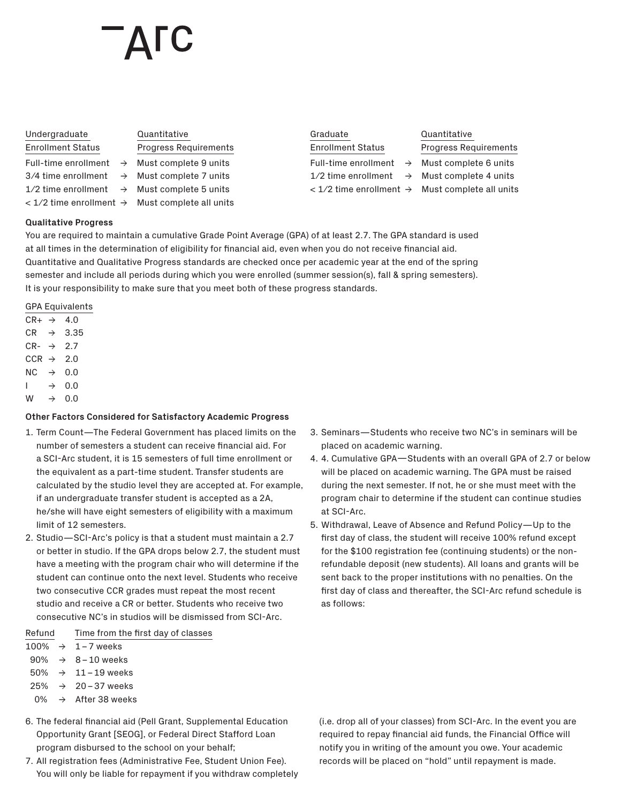| Undergraduate            |  |
|--------------------------|--|
| <b>Enrollment Status</b> |  |

Quantitative Progress Requirements Full-time enrollment  $\rightarrow$  Must complete 9 units  $3/4$  time enrollment  $\rightarrow$  Must complete 7 units  $1/2$  time enrollment  $\rightarrow$  Must complete 5 units  $<$  1/2 time enrollment  $\rightarrow$  Must complete all units Graduate

Enrollment Status Full-time enrollment  $\rightarrow$  Must complete 6 units  $1/2$  time enrollment  $\rightarrow$  Must complete 4 units

Quantitative Progress Requirements

 $<$  1/2 time enrollment  $\rightarrow$  Must complete all units

### **Qualitative Progress**

You are required to maintain a cumulative Grade Point Average (GPA) of at least 2.7. The GPA standard is used at all times in the determination of eligibility for financial aid, even when you do not receive financial aid. Quantitative and Qualitative Progress standards are checked once per academic year at the end of the spring semester and include all periods during which you were enrolled (summer session(s), fall & spring semesters). It is your responsibility to make sure that you meet both of these progress standards.

#### GPA Equivalents

| $CR+ \rightarrow$ |   | 4.0  |
|-------------------|---|------|
| CR.               | → | 3.35 |
| $CR- \rightarrow$ |   | 2.7  |
| $CCR \rightarrow$ |   | 2.0  |
| NC.               | → | 0.0  |
| ı                 | → | 0.0  |
| W                 | → | 0.0  |

### **Other Factors Considered for Satisfactory Academic Progress**

- 1. Term Count—The Federal Government has placed limits on the number of semesters a student can receive financial aid. For a SCI-Arc student, it is 15 semesters of full time enrollment or the equivalent as a part-time student. Transfer students are calculated by the studio level they are accepted at. For example, if an undergraduate transfer student is accepted as a 2A, he/she will have eight semesters of eligibility with a maximum limit of 12 semesters.
- 2. Studio—SCI-Arc's policy is that a student must maintain a 2.7 or better in studio. If the GPA drops below 2.7, the student must have a meeting with the program chair who will determine if the student can continue onto the next level. Students who receive two consecutive CCR grades must repeat the most recent studio and receive a CR or better. Students who receive two consecutive NC's in studios will be dismissed from SCI-Arc.

| Refund |  |  | Time from the first day of classes |
|--------|--|--|------------------------------------|
|        |  |  |                                    |

 $100\% \rightarrow 1-7$  weeks

- $90\% \rightarrow 8-10$  weeks 50%  $\rightarrow$  11-19 weeks
- $25\% \rightarrow 20-37$  weeks
- 0%  $\rightarrow$  After 38 weeks
- 6. The federal financial aid (Pell Grant, Supplemental Education Opportunity Grant [SEOG], or Federal Direct Stafford Loan program disbursed to the school on your behalf;
- 7. All registration fees (Administrative Fee, Student Union Fee). You will only be liable for repayment if you withdraw completely
- 3. Seminars—Students who receive two NC's in seminars will be placed on academic warning.
- 4. 4. Cumulative GPA—Students with an overall GPA of 2.7 or below will be placed on academic warning. The GPA must be raised during the next semester. If not, he or she must meet with the program chair to determine if the student can continue studies at SCI-Arc.
- 5. Withdrawal, Leave of Absence and Refund Policy—Up to the first day of class, the student will receive 100% refund except for the \$100 registration fee (continuing students) or the nonrefundable deposit (new students). All loans and grants will be sent back to the proper institutions with no penalties. On the first day of class and thereafter, the SCI-Arc refund schedule is as follows:

(i.e. drop all of your classes) from SCI-Arc. In the event you are required to repay financial aid funds, the Financial Office will notify you in writing of the amount you owe. Your academic records will be placed on "hold" until repayment is made.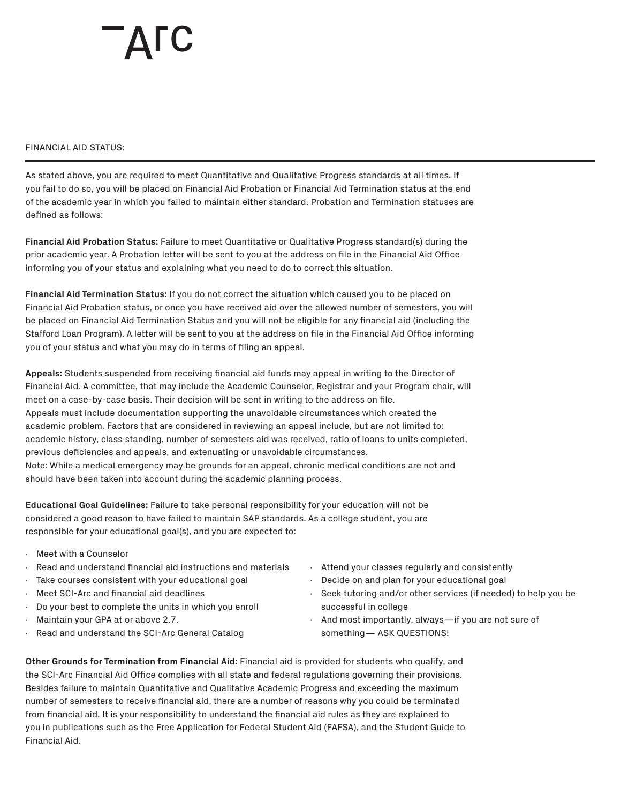#### FINANCIAL AID STATUS:

As stated above, you are required to meet Quantitative and Qualitative Progress standards at all times. If you fail to do so, you will be placed on Financial Aid Probation or Financial Aid Termination status at the end of the academic year in which you failed to maintain either standard. Probation and Termination statuses are defined as follows:

**Financial Aid Probation Status:** Failure to meet Quantitative or Qualitative Progress standard(s) during the prior academic year. A Probation letter will be sent to you at the address on file in the Financial Aid Office informing you of your status and explaining what you need to do to correct this situation.

**Financial Aid Termination Status:** If you do not correct the situation which caused you to be placed on Financial Aid Probation status, or once you have received aid over the allowed number of semesters, you will be placed on Financial Aid Termination Status and you will not be eligible for any financial aid (including the Stafford Loan Program). A letter will be sent to you at the address on file in the Financial Aid Office informing you of your status and what you may do in terms of filing an appeal.

**Appeals:** Students suspended from receiving financial aid funds may appeal in writing to the Director of Financial Aid. A committee, that may include the Academic Counselor, Registrar and your Program chair, will meet on a case-by-case basis. Their decision will be sent in writing to the address on file. Appeals must include documentation supporting the unavoidable circumstances which created the academic problem. Factors that are considered in reviewing an appeal include, but are not limited to: academic history, class standing, number of semesters aid was received, ratio of loans to units completed, previous deficiencies and appeals, and extenuating or unavoidable circumstances. Note: While a medical emergency may be grounds for an appeal, chronic medical conditions are not and should have been taken into account during the academic planning process.

**Educational Goal Guidelines:** Failure to take personal responsibility for your education will not be considered a good reason to have failed to maintain SAP standards. As a college student, you are responsible for your educational goal(s), and you are expected to:

- ∙ Meet with a Counselor
- ∙ Read and understand financial aid instructions and materials
- ∙ Take courses consistent with your educational goal
- ∙ Meet SCI-Arc and financial aid deadlines
- ∙ Do your best to complete the units in which you enroll
- ∙ Maintain your GPA at or above 2.7.
- ∙ Read and understand the SCI-Arc General Catalog
- ∙ Attend your classes regularly and consistently
- ∙ Decide on and plan for your educational goal
- ∙ Seek tutoring and/or other services (if needed) to help you be successful in college
- ∙ And most importantly, always—if you are not sure of something— ASK QUESTIONS!

**Other Grounds for Termination from Financial Aid:** Financial aid is provided for students who qualify, and the SCI-Arc Financial Aid Office complies with all state and federal regulations governing their provisions. Besides failure to maintain Quantitative and Qualitative Academic Progress and exceeding the maximum number of semesters to receive financial aid, there are a number of reasons why you could be terminated from financial aid. It is your responsibility to understand the financial aid rules as they are explained to you in publications such as the Free Application for Federal Student Aid (FAFSA), and the Student Guide to Financial Aid.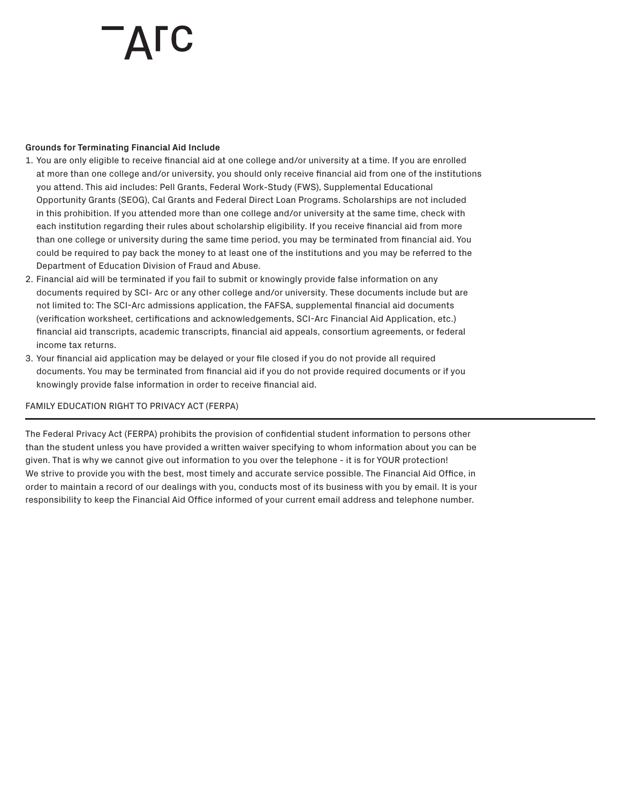#### **Grounds for Terminating Financial Aid Include**

- 1. You are only eligible to receive financial aid at one college and/or university at a time. If you are enrolled at more than one college and/or university, you should only receive financial aid from one of the institutions you attend. This aid includes: Pell Grants, Federal Work-Study (FWS), Supplemental Educational Opportunity Grants (SEOG), Cal Grants and Federal Direct Loan Programs. Scholarships are not included in this prohibition. If you attended more than one college and/or university at the same time, check with each institution regarding their rules about scholarship eligibility. If you receive financial aid from more than one college or university during the same time period, you may be terminated from financial aid. You could be required to pay back the money to at least one of the institutions and you may be referred to the Department of Education Division of Fraud and Abuse.
- 2. Financial aid will be terminated if you fail to submit or knowingly provide false information on any documents required by SCI- Arc or any other college and/or university. These documents include but are not limited to: The SCI-Arc admissions application, the FAFSA, supplemental financial aid documents (verification worksheet, certifications and acknowledgements, SCI-Arc Financial Aid Application, etc.) financial aid transcripts, academic transcripts, financial aid appeals, consortium agreements, or federal income tax returns.
- 3. Your financial aid application may be delayed or your file closed if you do not provide all required documents. You may be terminated from financial aid if you do not provide required documents or if you knowingly provide false information in order to receive financial aid.

### FAMILY EDUCATION RIGHT TO PRIVACY ACT (FERPA)

The Federal Privacy Act (FERPA) prohibits the provision of confidential student information to persons other than the student unless you have provided a written waiver specifying to whom information about you can be given. That is why we cannot give out information to you over the telephone - it is for YOUR protection! We strive to provide you with the best, most timely and accurate service possible. The Financial Aid Office, in order to maintain a record of our dealings with you, conducts most of its business with you by email. It is your responsibility to keep the Financial Aid Office informed of your current email address and telephone number.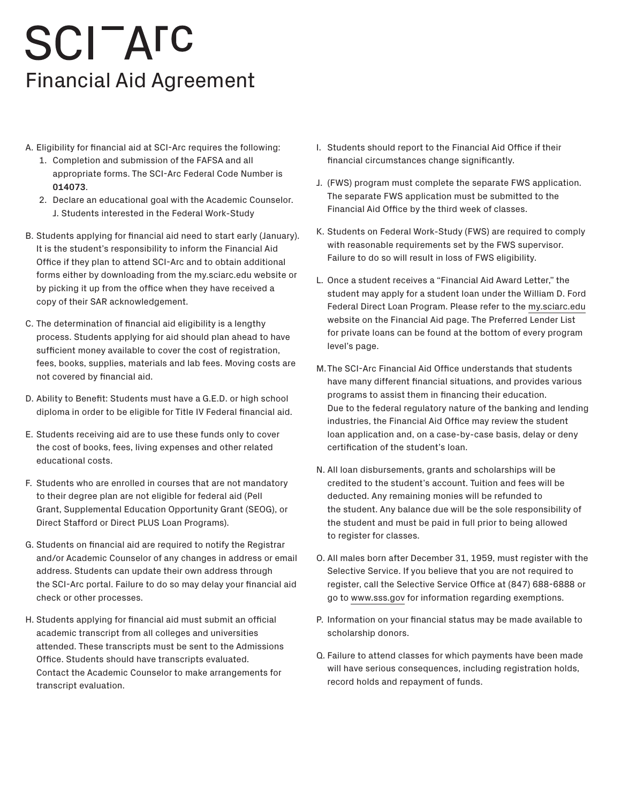## **SCITATC** Financial Aid Agreement

- A. Eligibility for financial aid at SCI-Arc requires the following:
	- 1. Completion and submission of the FAFSA and all appropriate forms. The SCI-Arc Federal Code Number is **014073**.
	- 2. Declare an educational goal with the Academic Counselor. J. Students interested in the Federal Work-Study
- B. Students applying for financial aid need to start early (January). It is the student's responsibility to inform the Financial Aid Office if they plan to attend SCI-Arc and to obtain additional forms either by downloading from the my.sciarc.edu website or by picking it up from the office when they have received a copy of their SAR acknowledgement.
- C. The determination of financial aid eligibility is a lengthy process. Students applying for aid should plan ahead to have sufficient money available to cover the cost of registration, fees, books, supplies, materials and lab fees. Moving costs are not covered by financial aid.
- D. Ability to Benefit: Students must have a G.E.D. or high school diploma in order to be eligible for Title IV Federal financial aid.
- E. Students receiving aid are to use these funds only to cover the cost of books, fees, living expenses and other related educational costs.
- F. Students who are enrolled in courses that are not mandatory to their degree plan are not eligible for federal aid (Pell Grant, Supplemental Education Opportunity Grant (SEOG), or Direct Stafford or Direct PLUS Loan Programs).
- G. Students on financial aid are required to notify the Registrar and/or Academic Counselor of any changes in address or email address. Students can update their own address through the SCI-Arc portal. Failure to do so may delay your financial aid check or other processes.
- H. Students applying for financial aid must submit an official academic transcript from all colleges and universities attended. These transcripts must be sent to the Admissions Office. Students should have transcripts evaluated. Contact the Academic Counselor to make arrangements for transcript evaluation.
- I. Students should report to the Financial Aid Office if their financial circumstances change significantly.
- J. (FWS) program must complete the separate FWS application. The separate FWS application must be submitted to the Financial Aid Office by the third week of classes.
- K. Students on Federal Work-Study (FWS) are required to comply with reasonable requirements set by the FWS supervisor. Failure to do so will result in loss of FWS eligibility.
- L. Once a student receives a "Financial Aid Award Letter," the student may apply for a student loan under the William D. Ford Federal Direct Loan Program. Please refer to the my.sciarc.edu website on the Financial Aid page. The Preferred Lender List for private loans can be found at the bottom of every program level's page.
- M.The SCI-Arc Financial Aid Office understands that students have many different financial situations, and provides various programs to assist them in financing their education. Due to the federal regulatory nature of the banking and lending industries, the Financial Aid Office may review the student loan application and, on a case-by-case basis, delay or deny certification of the student's loan.
- N. All loan disbursements, grants and scholarships will be credited to the student's account. Tuition and fees will be deducted. Any remaining monies will be refunded to the student. Any balance due will be the sole responsibility of the student and must be paid in full prior to being allowed to register for classes.
- O. All males born after December 31, 1959, must register with the Selective Service. If you believe that you are not required to register, call the Selective Service Office at (847) 688-6888 or go to www.sss.gov for information regarding exemptions.
- P. Information on your financial status may be made available to scholarship donors.
- Q. Failure to attend classes for which payments have been made will have serious consequences, including registration holds, record holds and repayment of funds.